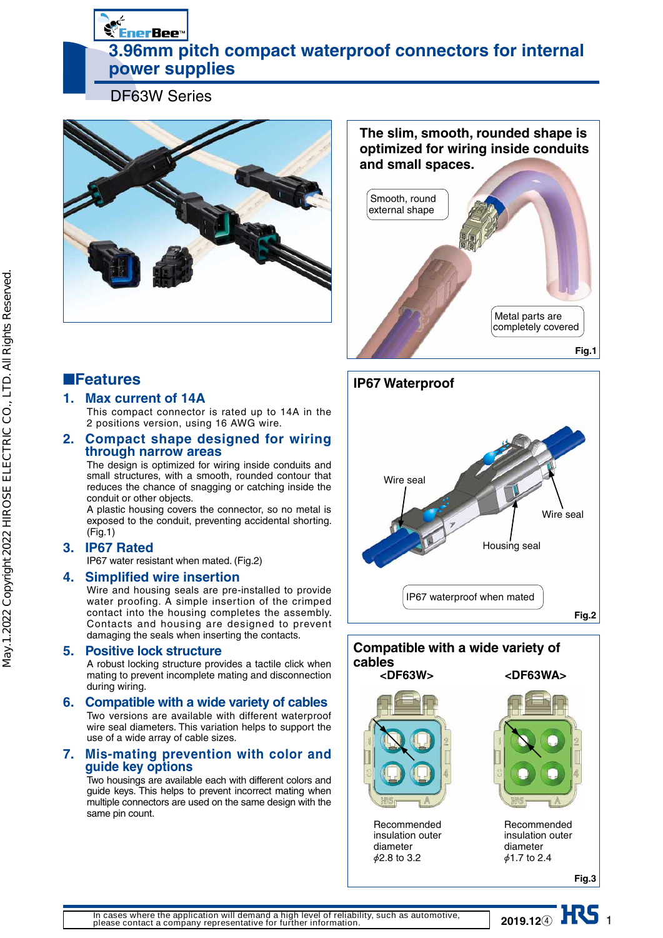**Second Energy 3.96mm pitch compact waterproof connectors for internal power supplies** 

DF63W Series



**The slim, smooth, rounded shape is optimized for wiring inside conduits and small spaces.**



# ■**Features**

### **1. Max current of 14A**

This compact connector is rated up to 14A in the 2 positions version, using 16 AWG wire.

### **2. Compact shape designed for wiring through narrow areas**

The design is optimized for wiring inside conduits and small structures, with a smooth, rounded contour that reduces the chance of snagging or catching inside the conduit or other objects.

A plastic housing covers the connector, so no metal is exposed to the conduit, preventing accidental shorting. (Fig.1)

## **3. IP67 Rated**

IP67 water resistant when mated. (Fig.2)

### **4. Simplified wire insertion**

Wire and housing seals are pre-installed to provide water proofing. A simple insertion of the crimped contact into the housing completes the assembly. Contacts and housing are designed to prevent damaging the seals when inserting the contacts.

### **5. Positive lock structure**

A robust locking structure provides a tactile click when mating to prevent incomplete mating and disconnection during wiring.

### **6. Compatible with a wide variety of cables**  Two versions are available with different waterproof

wire seal diameters. This variation helps to support the use of a wide array of cable sizes.

### **7. Mis-mating prevention with color and guide key options**

Two housings are available each with different colors and guide keys. This helps to prevent incorrect mating when multiple connectors are used on the same design with the same pin count.





**2019.12**<sup>④</sup> ■■■■■■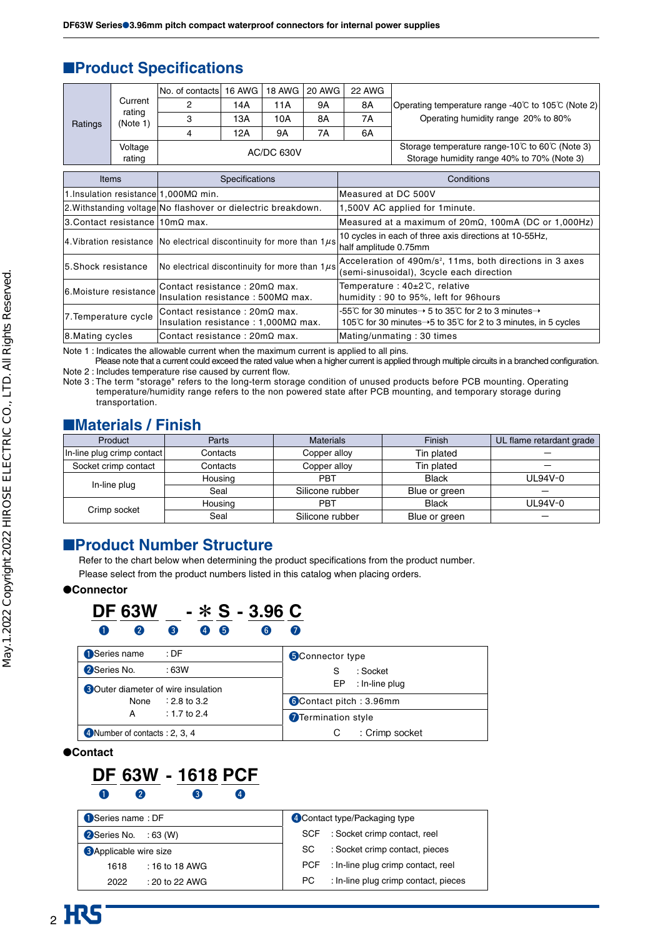# ■**Product Specifications**

| Ratings | Current<br>rating<br>(Note 1)<br>Voltage | No. of contacts   16 AWG   18 AWG   20 AWG |     |                   |    | 22 AWG                                                              |                                                   |
|---------|------------------------------------------|--------------------------------------------|-----|-------------------|----|---------------------------------------------------------------------|---------------------------------------------------|
|         |                                          |                                            | 14A | 11A               | 9Α | 8A                                                                  | Operating temperature range -40℃ to 105℃ (Note 2) |
|         |                                          |                                            | 13A | 10A               | 8A | 7Α                                                                  | Operating humidity range 20% to 80%               |
|         |                                          | 4                                          | 12A | 9A                | 7A | 6A                                                                  |                                                   |
|         |                                          |                                            |     | <b>AC/DC 630V</b> |    | Storage temperature range-10 $\degree$ C to 60 $\degree$ C (Note 3) |                                                   |
|         | rating                                   |                                            |     |                   |    | Storage humidity range 40% to 70% (Note 3)                          |                                                   |

| <b>Items</b>                                | Specifications                                                                | Conditions                                                                                                                                                    |
|---------------------------------------------|-------------------------------------------------------------------------------|---------------------------------------------------------------------------------------------------------------------------------------------------------------|
| 1.Insulation resistance $1,000M\Omega$ min. |                                                                               | Measured at DC 500V                                                                                                                                           |
|                                             | 2. Withstanding voltage No flashover or dielectric breakdown.                 | 1,500V AC applied for 1 minute.                                                                                                                               |
| $3$ . Contact resistance $10$ mΩ max.       |                                                                               | Measured at a maximum of $20m\Omega$ , 100mA (DC or 1,000Hz)                                                                                                  |
|                                             | 4. Vibration resistance   No electrical discontinuity for more than $1\mu s$  | 10 cycles in each of three axis directions at 10-55Hz,<br>half amplitude 0.75mm                                                                               |
| 5.Shock resistance                          | No electrical discontinuity for more than $1\mu s$                            | Acceleration of 490m/s <sup>2</sup> , 11ms, both directions in 3 axes<br>(semi-sinusoidal), 3cycle each direction                                             |
| 6. Moisture resistance                      | lContact resistance : 20mΩ max.<br>Insulation resistance: $500M\Omega$ max.   | Temperature: 40±2℃, relative<br>humidity: 90 to 95%, left for 96hours                                                                                         |
| 7. Temperature cycle                        | Contact resistance : 20mΩ max.<br>Insulation resistance : $1,000M\Omega$ max. | -55°C for 30 minutes $\rightarrow$ 5 to 35°C for 2 to 3 minutes $\rightarrow$<br>105°C for 30 minutes $\rightarrow$ 5 to 35°C for 2 to 3 minutes, in 5 cycles |
| 8. Mating cycles                            | Contact resistance: $20 \text{m}\Omega$ max.                                  | Mating/unmating: 30 times                                                                                                                                     |

Note 1 : Indicates the allowable current when the maximum current is applied to all pins.

 Please note that a current could exceed the rated value when a higher current is applied through multiple circuits in a branched configuration. Note 2 : Includes temperature rise caused by current flow.

Note 3 : The term "storage" refers to the long-term storage condition of unused products before PCB mounting. Operating temperature/humidity range refers to the non powered state after PCB mounting, and temporary storage during transportation.

# ■**Materials / Finish**

| Product                    | Parts    | <b>Materials</b> | Finish        | UL flame retardant grade |
|----------------------------|----------|------------------|---------------|--------------------------|
| In-line plug crimp contact | Contacts | Copper alloy     | Tin plated    |                          |
| Socket crimp contact       | Contacts | Copper alloy     | Tin plated    |                          |
| In-line plug               | Housing  | <b>PBT</b>       | <b>Black</b>  | UL94V-0                  |
|                            | Seal     | Silicone rubber  | Blue or green |                          |
|                            | Housing  | <b>PBT</b>       | <b>Black</b>  | UL94V-0                  |
| Crimp socket               | Seal     | Silicone rubber  | Blue or green |                          |

# ■**Product Number Structure**

Refer to the chart below when determining the product specifications from the product number.

Please select from the product numbers listed in this catalog when placing orders.

### ●**Connector**

| <b>DF 63W</b> |  |  |  | $ *$ S $-$ 3.96 C |  |  |
|---------------|--|--|--|-------------------|--|--|
|               |  |  |  |                   |  |  |

| Series name<br>:DF                         | <b>5</b> Connector type        |  |  |
|--------------------------------------------|--------------------------------|--|--|
| 2 Series No.<br>:63W                       | : Socket                       |  |  |
| <b>3</b> Outer diameter of wire insulation | : In-line plug<br>EP           |  |  |
| $: 2.8$ to 3.2<br>None                     | <b>6</b> Contact pitch: 3.96mm |  |  |
| : 1.7 to 2.4<br>А                          | Termination style              |  |  |
| 4 Number of contacts : 2, 3, 4             | : Crimp socket                 |  |  |

●**Contact**



| Series name: DF               | 4 Contact type/Packaging type               |  |  |
|-------------------------------|---------------------------------------------|--|--|
| 2 Series No. : 63 (W)         | SCF : Socket crimp contact, reel            |  |  |
| <b>3</b> Applicable wire size | : Socket crimp contact, pieces<br>SC.       |  |  |
| $: 16$ to 18 AWG<br>1618      | PCF : In-line plug crimp contact, reel      |  |  |
| $: 20$ to 22 AWG<br>2022      | : In-line plug crimp contact, pieces<br>PC. |  |  |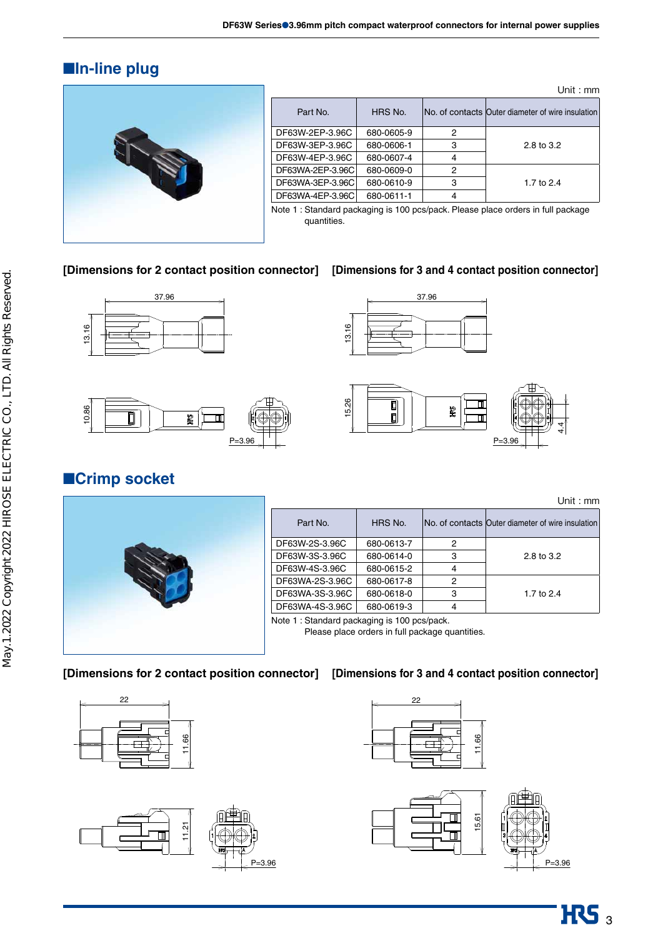# ■**In-line plug**



| Unit: $mm$       |            |   |                                                   |  |  |  |
|------------------|------------|---|---------------------------------------------------|--|--|--|
| Part No.         | HRS No.    |   | No. of contacts Outer diameter of wire insulation |  |  |  |
| DF63W-2EP-3.96C  | 680-0605-9 | 2 |                                                   |  |  |  |
| DF63W-3EP-3.96C  | 680-0606-1 | 3 | 2.8 to 3.2                                        |  |  |  |
| DF63W-4EP-3.96C  | 680-0607-4 | 4 |                                                   |  |  |  |
| DF63WA-2EP-3.96C | 680-0609-0 | 2 |                                                   |  |  |  |
| DF63WA-3EP-3.96C | 680-0610-9 | 3 | 1.7 to 2.4                                        |  |  |  |
| DF63WA-4EP-3.96C | 680-0611-1 |   |                                                   |  |  |  |

Note 1 : Standard packaging is 100 pcs/pack. Please place orders in full package quantities.

### **[Dimensions for 2 contact position connector] [Dimensions for 3 and 4 contact position connector]**









# ■**Crimp socket**

Unit : mm

| $\sim$ $-$ |  |
|------------|--|
|            |  |

| Part No.        | HRS No.    |   | No. of contacts Outer diameter of wire insulation |
|-----------------|------------|---|---------------------------------------------------|
| DF63W-2S-3.96C  | 680-0613-7 | 2 |                                                   |
| DF63W-3S-3.96C  | 680-0614-0 | 3 | 2.8 to 3.2                                        |
| DF63W-4S-3.96C  | 680-0615-2 | 4 |                                                   |
| DF63WA-2S-3.96C | 680-0617-8 | 2 |                                                   |
| DF63WA-3S-3.96C | 680-0618-0 | З | 1.7 to $2.4$                                      |
| DF63WA-4S-3.96C | 680-0619-3 |   |                                                   |
|                 |            |   |                                                   |

Note 1 : Standard packaging is 100 pcs/pack.

Please place orders in full package quantities.

### **[Dimensions for 2 contact position connector] [Dimensions for 3 and 4 contact position connector]**









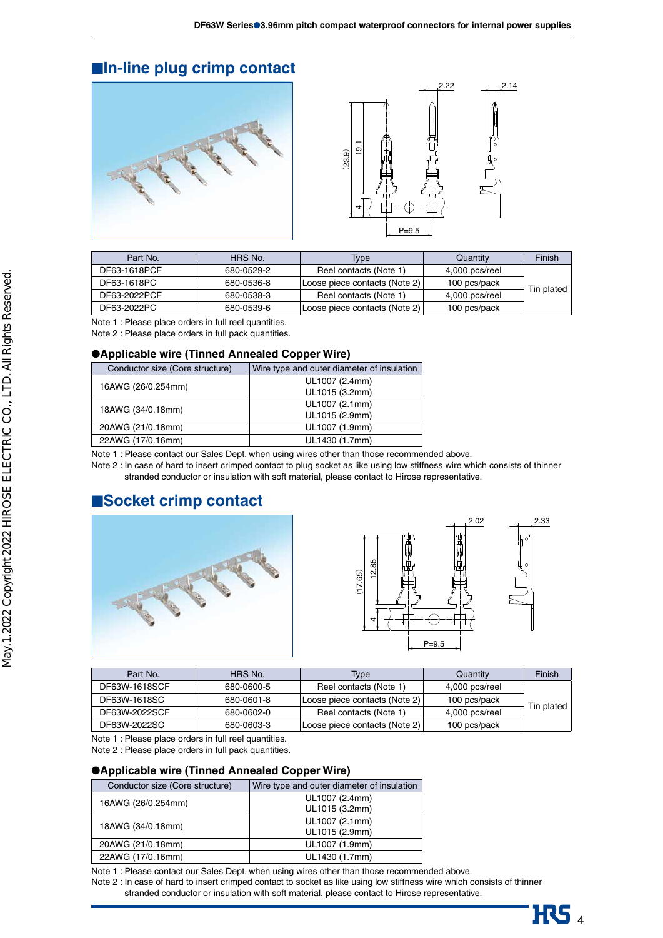# ■**In-line plug crimp contact**





| Part No.     | HRS No.    | <b>Type</b>                   | Quantity       | Finish     |
|--------------|------------|-------------------------------|----------------|------------|
| DF63-1618PCF | 680-0529-2 | Reel contacts (Note 1)        | 4,000 pcs/reel |            |
| DF63-1618PC  | 680-0536-8 | Loose piece contacts (Note 2) | 100 pcs/pack   |            |
| DF63-2022PCF | 680-0538-3 | Reel contacts (Note 1)        | 4,000 pcs/reel | Tin plated |
| DF63-2022PC  | 680-0539-6 | Loose piece contacts (Note 2) | 100 pcs/pack   |            |

Note 1 : Please place orders in full reel quantities.

Note 2 : Please place orders in full pack quantities.

### ●**Applicable wire (Tinned Annealed Copper Wire)**

| Wire type and outer diameter of insulation |  |  |
|--------------------------------------------|--|--|
| UL1007 (2.4mm)                             |  |  |
| UL1015 (3.2mm)                             |  |  |
| UL1007 (2.1mm)                             |  |  |
| UL1015 (2.9mm)                             |  |  |
| UL1007 (1.9mm)                             |  |  |
| UL1430 (1.7mm)                             |  |  |
|                                            |  |  |

Note 1 : Please contact our Sales Dept. when using wires other than those recommended above.

Note 2 : In case of hard to insert crimped contact to plug socket as like using low stiffness wire which consists of thinner stranded conductor or insulation with soft material, please contact to Hirose representative.

# ■**Socket crimp contact**





| Part No.      | HRS No.    | <b>Type</b>                   | Quantity       | Finish     |
|---------------|------------|-------------------------------|----------------|------------|
| DF63W-1618SCF | 680-0600-5 | Reel contacts (Note 1)        | 4,000 pcs/reel |            |
| DF63W-1618SC  | 680-0601-8 | Loose piece contacts (Note 2) | 100 pcs/pack   |            |
| DF63W-2022SCF | 680-0602-0 | Reel contacts (Note 1)        | 4,000 pcs/reel | Tin plated |
| DF63W-2022SC  | 680-0603-3 | Loose piece contacts (Note 2) | 100 pcs/pack   |            |

Note 1 : Please place orders in full reel quantities.

Note 2 : Please place orders in full pack quantities.

### ●**Applicable wire (Tinned Annealed Copper Wire)**

| Conductor size (Core structure) | Wire type and outer diameter of insulation |  |  |
|---------------------------------|--------------------------------------------|--|--|
| 16AWG (26/0.254mm)              | UL1007 (2.4mm)                             |  |  |
|                                 | UL1015 (3.2mm)                             |  |  |
|                                 | UL1007 (2.1mm)                             |  |  |
| 18AWG (34/0.18mm)               | UL1015 (2.9mm)                             |  |  |
| 20AWG (21/0.18mm)               | UL1007 (1.9mm)                             |  |  |
| 22AWG (17/0.16mm)               | UL1430 (1.7mm)                             |  |  |

Note 1 : Please contact our Sales Dept. when using wires other than those recommended above.

Note 2 : In case of hard to insert crimped contact to socket as like using low stiffness wire which consists of thinner stranded conductor or insulation with soft material, please contact to Hirose representative.

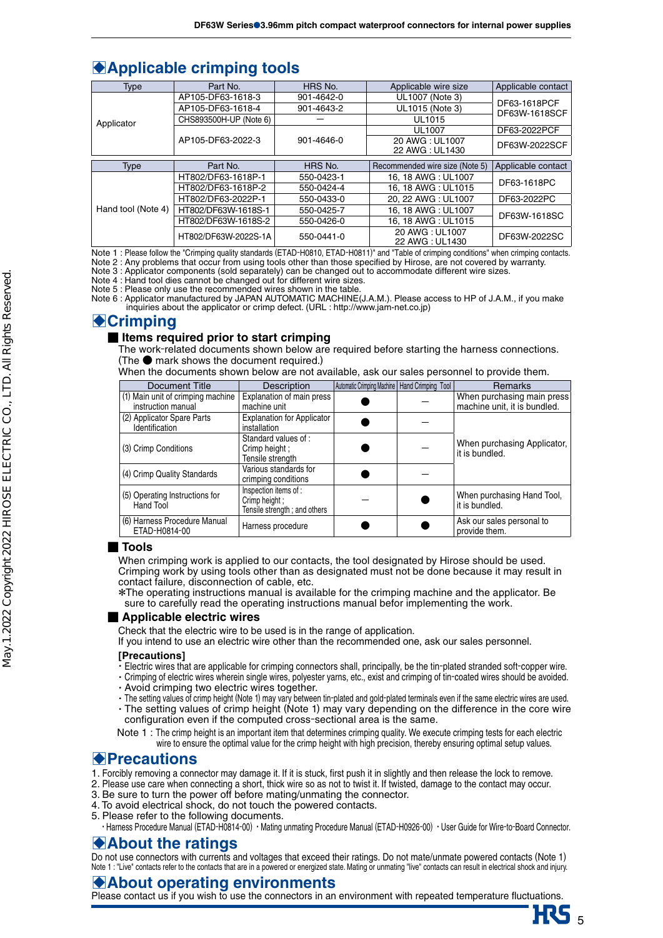# **Applicable crimping tools**

| Type               | Part No.                        | HRS No.    | Applicable wire size              | Applicable contact            |  |  |  |
|--------------------|---------------------------------|------------|-----------------------------------|-------------------------------|--|--|--|
| Applicator         | AP105-DF63-1618-3               | 901-4642-0 | UL1007 (Note 3)                   |                               |  |  |  |
|                    | AP105-DF63-1618-4               | 901-4643-2 | UL1015 (Note 3)                   | DF63-1618PCF<br>DF63W-1618SCF |  |  |  |
|                    | CHS893500H-UP (Note 6)          |            | <b>UL1015</b>                     |                               |  |  |  |
|                    | AP105-DF63-2022-3<br>901-4646-0 |            | <b>UL1007</b>                     | DF63-2022PCF                  |  |  |  |
|                    |                                 |            | 20 AWG: UL1007<br>22 AWG: UL1430  | DF63W-2022SCF                 |  |  |  |
|                    |                                 |            |                                   |                               |  |  |  |
| <b>Type</b>        | Part No.                        | HRS No.    | Recommended wire size (Note 5)    | Applicable contact            |  |  |  |
| Hand tool (Note 4) | HT802/DF63-1618P-1              | 550-0423-1 | 16.18 AWG: UL1007                 | DF63-1618PC                   |  |  |  |
|                    | HT802/DF63-1618P-2              | 550-0424-4 | 16.18 AWG: UL1015                 |                               |  |  |  |
|                    | HT802/DF63-2022P-1              | 550-0433-0 | 20. 22 AWG: UL1007<br>DF63-2022PC |                               |  |  |  |
|                    | HT802/DF63W-1618S-1             | 550-0425-7 | 16, 18 AWG: UL1007                | DF63W-1618SC                  |  |  |  |
|                    | HT802/DF63W-1618S-2             | 550-0426-0 | 16.18 AWG: UL1015                 |                               |  |  |  |
|                    | HT802/DF63W-2022S-1A            | 550-0441-0 | 20 AWG: UL1007<br>22 AWG: UL1430  | DF63W-2022SC                  |  |  |  |

Note 1 : Please follow the "Crimping quality standards (ETAD-H0810, ETAD-H0811)" and "Table of crimping conditions" when crimping contacts.

Note 2 : Any problems that occur from using tools other than those specified by Hirose, are not covered by warranty. Note 3 : Applicator components (sold separately) can be changed out to accommodate different wire sizes.

Note 4 : Hand tool dies cannot be changed out for different wire sizes.

Note 5 : Please only use the recommended wires shown in the table.

Note 6 : Applicator manufactured by JAPAN AUTOMATIC MACHINE(J.A.M.). Please access to HP of J.A.M., if you make inquiries about the applicator or crimp defect. (URL : http://www.jam-net.co.jp)

# **A**Crimping

### **■ Items required prior to start crimping**

The work-related documents shown below are required before starting the harness connections. (The ● mark shows the document required.)

When the documents shown below are not available, ask our sales personnel to provide them.

| Document Title                                          | <b>Description</b>                                                    | Automatic Crimping Machine   Hand Crimping Tool | <b>Remarks</b>                                             |
|---------------------------------------------------------|-----------------------------------------------------------------------|-------------------------------------------------|------------------------------------------------------------|
| (1) Main unit of crimping machine<br>instruction manual | Explanation of main press<br>machine unit                             |                                                 | When purchasing main press<br>machine unit, it is bundled. |
| (2) Applicator Spare Parts<br>Identification            | <b>Explanation for Applicator</b><br>installation                     |                                                 |                                                            |
| (3) Crimp Conditions                                    | Standard values of:<br>Crimp height :<br>Tensile strength             |                                                 | When purchasing Applicator,<br>it is bundled.              |
| (4) Crimp Quality Standards                             | Various standards for<br>crimping conditions                          |                                                 |                                                            |
| (5) Operating Instructions for<br>Hand Tool             | Inspection items of:<br>Crimp height:<br>Tensile strength; and others |                                                 | When purchasing Hand Tool,<br>it is bundled.               |
| (6) Harness Procedure Manual<br>ETAD-H0814-00           | Harness procedure                                                     |                                                 | Ask our sales personal to<br>provide them.                 |

### **■ Tools**

When crimping work is applied to our contacts, the tool designated by Hirose should be used. Crimping work by using tools other than as designated must not be done because it may result in contact failure, disconnection of cable, etc.

\*The operating instructions manual is available for the crimping machine and the applicator. Be sure to carefully read the operating instructions manual befor implementing the work.

### ■ **Applicable electric wires**

Check that the electric wire to be used is in the range of application.

If you intend to use an electric wire other than the recommended one, ask our sales personnel.

### **[Precautions]**

- ・Electric wires that are applicable for crimping connectors shall, principally, be the tin-plated stranded soft-copper wire.
- ・Crimping of electric wires wherein single wires, polyester yarns, etc., exist and crimping of tin-coated wires should be avoided. ・Avoid crimping two electric wires together.
- 
- ・The setting values of crimp height (Note 1) may vary between tin-plated and gold-plated terminals even if the same electric wires are used. ・The setting values of crimp height (Note 1) may vary depending on the difference in the core wire configuration even if the computed cross-sectional area is the same.

Note 1 : The crimp height is an important item that determines crimping quality. We execute crimping tests for each electric wire to ensure the optimal value for the crimp height with high precision, thereby ensuring optimal setup values.

## B**Precautions**

- 1. Forcibly removing a connector may damage it. If it is stuck, first push it in slightly and then release the lock to remove.
- 2. Please use care when connecting a short, thick wire so as not to twist it. If twisted, damage to the contact may occur.
- 3.Be sure to turn the power off before mating/unmating the connector.
- 4.To avoid electrical shock, do not touch the powered contacts.
- 5. Please refer to the following documents.
- ・Harness Procedure Manual (ETAD-H0814-00) ・Mating unmating Procedure Manual (ETAD-H0926-00) ・User Guide for Wire-to-Board Connector.

## B**About the ratings**

Do not use connectors with currents and voltages that exceed their ratings. Do not mate/unmate powered contacts (Note 1) Note 1 : "Live" contacts refer to the contacts that are in a powered or energized state. Mating or unmating "live" contacts can result in electrical shock and injury.

### B**About operating environments**

Please contact us if you wish to use the connectors in an environment with repeated temperature fluctuations.